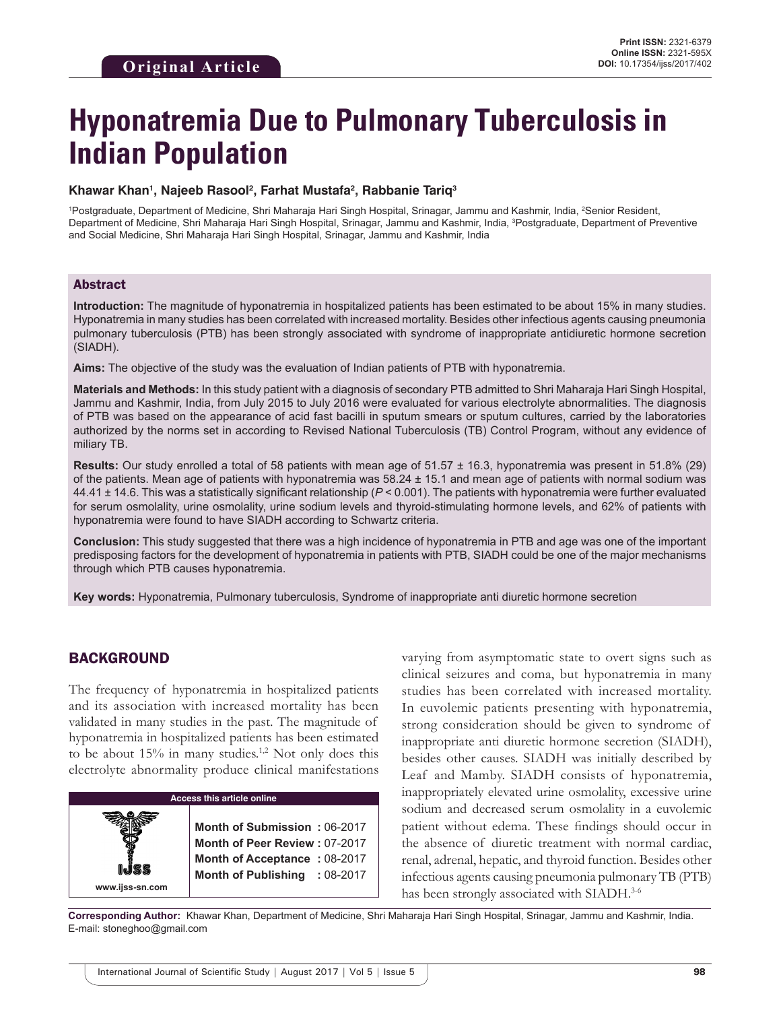# **Hyponatremia Due to Pulmonary Tuberculosis in Indian Population**

#### **Khawar Khan1 , Najeeb Rasool2 , Farhat Mustafa2 , Rabbanie Tariq3**

1 Postgraduate, Department of Medicine, Shri Maharaja Hari Singh Hospital, Srinagar, Jammu and Kashmir, India, 2 Senior Resident, Department of Medicine, Shri Maharaja Hari Singh Hospital, Srinagar, Jammu and Kashmir, India, 3 Postgraduate, Department of Preventive and Social Medicine, Shri Maharaja Hari Singh Hospital, Srinagar, Jammu and Kashmir, India

#### Abstract

**Introduction:** The magnitude of hyponatremia in hospitalized patients has been estimated to be about 15% in many studies. Hyponatremia in many studies has been correlated with increased mortality. Besides other infectious agents causing pneumonia pulmonary tuberculosis (PTB) has been strongly associated with syndrome of inappropriate antidiuretic hormone secretion (SIADH).

**Aims:** The objective of the study was the evaluation of Indian patients of PTB with hyponatremia.

**Materials and Methods:** In this study patient with a diagnosis of secondary PTB admitted to Shri Maharaja Hari Singh Hospital, Jammu and Kashmir, India, from July 2015 to July 2016 were evaluated for various electrolyte abnormalities. The diagnosis of PTB was based on the appearance of acid fast bacilli in sputum smears or sputum cultures, carried by the laboratories authorized by the norms set in according to Revised National Tuberculosis (TB) Control Program, without any evidence of miliary TB.

**Results:** Our study enrolled a total of 58 patients with mean age of 51.57 ± 16.3, hyponatremia was present in 51.8% (29) of the patients. Mean age of patients with hyponatremia was 58.24 ± 15.1 and mean age of patients with normal sodium was 44.41 ± 14.6. This was a statistically significant relationship (*P* < 0.001). The patients with hyponatremia were further evaluated for serum osmolality, urine osmolality, urine sodium levels and thyroid-stimulating hormone levels, and 62% of patients with hyponatremia were found to have SIADH according to Schwartz criteria.

**Conclusion:** This study suggested that there was a high incidence of hyponatremia in PTB and age was one of the important predisposing factors for the development of hyponatremia in patients with PTB, SIADH could be one of the major mechanisms through which PTB causes hyponatremia.

**Key words:** Hyponatremia, Pulmonary tuberculosis, Syndrome of inappropriate anti diuretic hormone secretion

## BACKGROUND

The frequency of hyponatremia in hospitalized patients and its association with increased mortality has been validated in many studies in the past. The magnitude of hyponatremia in hospitalized patients has been estimated to be about 15% in many studies.1,2 Not only does this electrolyte abnormality produce clinical manifestations



varying from asymptomatic state to overt signs such as clinical seizures and coma, but hyponatremia in many studies has been correlated with increased mortality. In euvolemic patients presenting with hyponatremia, strong consideration should be given to syndrome of inappropriate anti diuretic hormone secretion (SIADH), besides other causes. SIADH was initially described by Leaf and Mamby. SIADH consists of hyponatremia, inappropriately elevated urine osmolality, excessive urine sodium and decreased serum osmolality in a euvolemic patient without edema. These findings should occur in the absence of diuretic treatment with normal cardiac, renal, adrenal, hepatic, and thyroid function. Besides other infectious agents causing pneumonia pulmonary TB (PTB) has been strongly associated with SIADH.<sup>3-6</sup>

**Corresponding Author:** Khawar Khan, Department of Medicine, Shri Maharaja Hari Singh Hospital, Srinagar, Jammu and Kashmir, India. E-mail: stoneghoo@gmail.com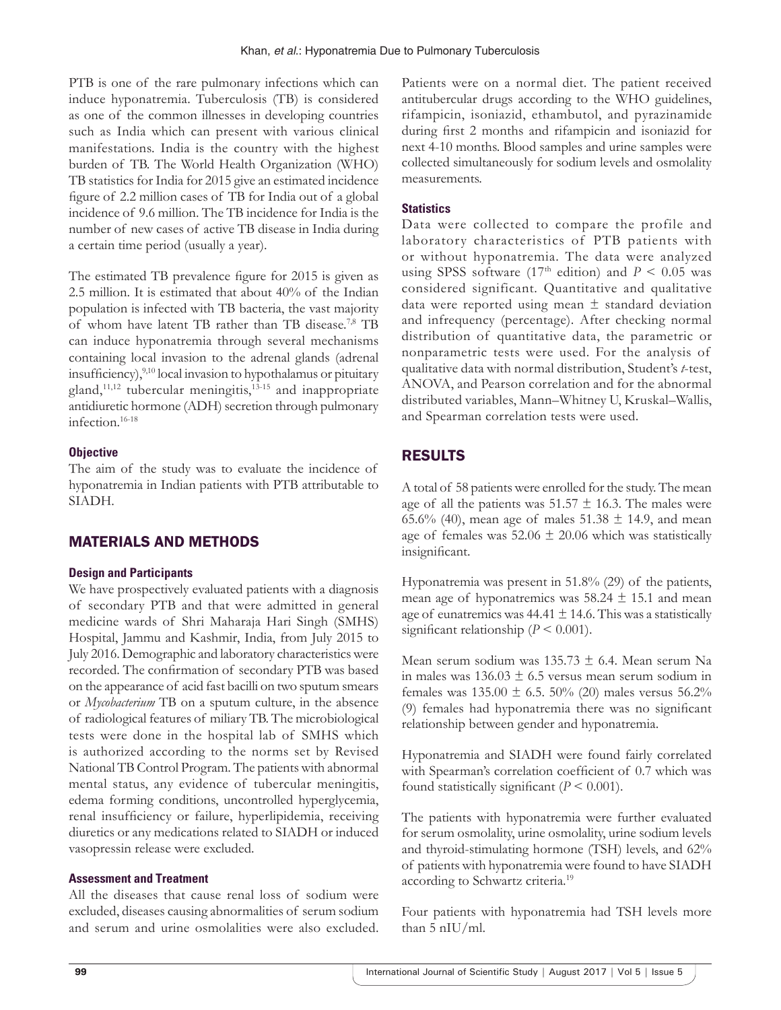PTB is one of the rare pulmonary infections which can induce hyponatremia. Tuberculosis (TB) is considered as one of the common illnesses in developing countries such as India which can present with various clinical manifestations. India is the country with the highest burden of TB. The World Health Organization (WHO) TB statistics for India for 2015 give an estimated incidence figure of 2.2 million cases of TB for India out of a global incidence of 9.6 million. The TB incidence for India is the number of new cases of active TB disease in India during a certain time period (usually a year).

The estimated TB prevalence figure for 2015 is given as 2.5 million. It is estimated that about 40% of the Indian population is infected with TB bacteria, the vast majority of whom have latent TB rather than TB disease.7,8 TB can induce hyponatremia through several mechanisms containing local invasion to the adrenal glands (adrenal insufficiency),9,10 local invasion to hypothalamus or pituitary gland, $11,12$  tubercular meningitis, $13-15$  and inappropriate antidiuretic hormone (ADH) secretion through pulmonary infection.16-18

### **Objective**

The aim of the study was to evaluate the incidence of hyponatremia in Indian patients with PTB attributable to SIADH.

## MATERIALS AND METHODS

#### **Design and Participants**

We have prospectively evaluated patients with a diagnosis of secondary PTB and that were admitted in general medicine wards of Shri Maharaja Hari Singh (SMHS) Hospital, Jammu and Kashmir, India, from July 2015 to July 2016. Demographic and laboratory characteristics were recorded. The confirmation of secondary PTB was based on the appearance of acid fast bacilli on two sputum smears or *Mycobacterium* TB on a sputum culture, in the absence of radiological features of miliary TB. The microbiological tests were done in the hospital lab of SMHS which is authorized according to the norms set by Revised National TB Control Program. The patients with abnormal mental status, any evidence of tubercular meningitis, edema forming conditions, uncontrolled hyperglycemia, renal insufficiency or failure, hyperlipidemia, receiving diuretics or any medications related to SIADH or induced vasopressin release were excluded.

#### **Assessment and Treatment**

All the diseases that cause renal loss of sodium were excluded, diseases causing abnormalities of serum sodium and serum and urine osmolalities were also excluded. Patients were on a normal diet. The patient received antitubercular drugs according to the WHO guidelines, rifampicin, isoniazid, ethambutol, and pyrazinamide during first 2 months and rifampicin and isoniazid for next 4-10 months. Blood samples and urine samples were collected simultaneously for sodium levels and osmolality measurements.

## **Statistics**

Data were collected to compare the profile and laboratory characteristics of PTB patients with or without hyponatremia. The data were analyzed using SPSS software  $(17<sup>th</sup>$  edition) and  $P < 0.05$  was considered significant. Quantitative and qualitative data were reported using mean ± standard deviation and infrequency (percentage). After checking normal distribution of quantitative data, the parametric or nonparametric tests were used. For the analysis of qualitative data with normal distribution, Student's *t*-test, ANOVA, and Pearson correlation and for the abnormal distributed variables, Mann–Whitney U, Kruskal–Wallis, and Spearman correlation tests were used.

## RESULTS

A total of 58 patients were enrolled for the study. The mean age of all the patients was  $51.57 \pm 16.3$ . The males were 65.6% (40), mean age of males 51.38  $\pm$  14.9, and mean age of females was  $52.06 \pm 20.06$  which was statistically insignificant.

Hyponatremia was present in 51.8% (29) of the patients, mean age of hyponatremics was  $58.24 \pm 15.1$  and mean age of eunatremics was  $44.41 \pm 14.6$ . This was a statistically significant relationship (*P* < 0.001).

Mean serum sodium was  $135.73 \pm 6.4$ . Mean serum Na in males was  $136.03 \pm 6.5$  versus mean serum sodium in females was  $135.00 \pm 6.5$ . 50% (20) males versus 56.2% (9) females had hyponatremia there was no significant relationship between gender and hyponatremia.

Hyponatremia and SIADH were found fairly correlated with Spearman's correlation coefficient of 0.7 which was found statistically significant  $(P < 0.001)$ .

The patients with hyponatremia were further evaluated for serum osmolality, urine osmolality, urine sodium levels and thyroid-stimulating hormone (TSH) levels, and 62% of patients with hyponatremia were found to have SIADH according to Schwartz criteria.19

Four patients with hyponatremia had TSH levels more than 5 nIU/ml.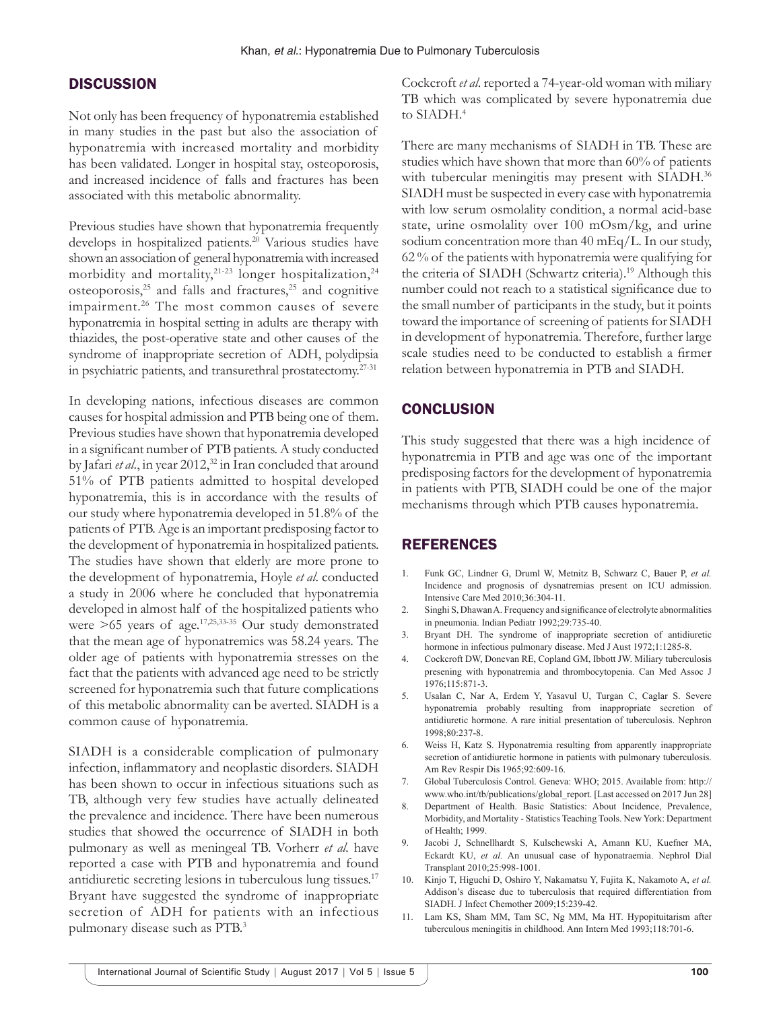#### **DISCUSSION**

Not only has been frequency of hyponatremia established in many studies in the past but also the association of hyponatremia with increased mortality and morbidity has been validated. Longer in hospital stay, osteoporosis, and increased incidence of falls and fractures has been associated with this metabolic abnormality.

Previous studies have shown that hyponatremia frequently develops in hospitalized patients.<sup>20</sup> Various studies have shown an association of general hyponatremia with increased morbidity and mortality,<sup>21-23</sup> longer hospitalization,<sup>24</sup> osteoporosis,25 and falls and fractures,25 and cognitive impairment.26 The most common causes of severe hyponatremia in hospital setting in adults are therapy with thiazides, the post-operative state and other causes of the syndrome of inappropriate secretion of ADH, polydipsia in psychiatric patients, and transurethral prostatectomy.27-31

In developing nations, infectious diseases are common causes for hospital admission and PTB being one of them. Previous studies have shown that hyponatremia developed in a significant number of PTB patients. A study conducted by Jafari *et al.*, in year 2012,<sup>32</sup> in Iran concluded that around 51% of PTB patients admitted to hospital developed hyponatremia, this is in accordance with the results of our study where hyponatremia developed in 51.8% of the patients of PTB. Age is an important predisposing factor to the development of hyponatremia in hospitalized patients. The studies have shown that elderly are more prone to the development of hyponatremia, Hoyle *et al*. conducted a study in 2006 where he concluded that hyponatremia developed in almost half of the hospitalized patients who were >65 years of age.<sup>17,25,33-35</sup> Our study demonstrated that the mean age of hyponatremics was 58.24 years. The older age of patients with hyponatremia stresses on the fact that the patients with advanced age need to be strictly screened for hyponatremia such that future complications of this metabolic abnormality can be averted. SIADH is a common cause of hyponatremia.

SIADH is a considerable complication of pulmonary infection, inflammatory and neoplastic disorders. SIADH has been shown to occur in infectious situations such as TB, although very few studies have actually delineated the prevalence and incidence. There have been numerous studies that showed the occurrence of SIADH in both pulmonary as well as meningeal TB. Vorherr *et al.* have reported a case with PTB and hyponatremia and found antidiuretic secreting lesions in tuberculous lung tissues.17 Bryant have suggested the syndrome of inappropriate secretion of ADH for patients with an infectious pulmonary disease such as PTB.3

Cockcroft *et al*. reported a 74-year-old woman with miliary TB which was complicated by severe hyponatremia due to SIADH.<sup>4</sup>

There are many mechanisms of SIADH in TB. These are studies which have shown that more than 60% of patients with tubercular meningitis may present with SIADH.<sup>36</sup> SIADH must be suspected in every case with hyponatremia with low serum osmolality condition, a normal acid-base state, urine osmolality over 100 mOsm/kg, and urine sodium concentration more than 40 mEq/L. In our study, 62 % of the patients with hyponatremia were qualifying for the criteria of SIADH (Schwartz criteria).<sup>19</sup> Although this number could not reach to a statistical significance due to the small number of participants in the study, but it points toward the importance of screening of patients for SIADH in development of hyponatremia. Therefore, further large scale studies need to be conducted to establish a firmer relation between hyponatremia in PTB and SIADH.

#### **CONCLUSION**

This study suggested that there was a high incidence of hyponatremia in PTB and age was one of the important predisposing factors for the development of hyponatremia in patients with PTB, SIADH could be one of the major mechanisms through which PTB causes hyponatremia.

#### REFERENCES

- 1. Funk GC, Lindner G, Druml W, Metnitz B, Schwarz C, Bauer P, *et al.* Incidence and prognosis of dysnatremias present on ICU admission. Intensive Care Med 2010;36:304-11.
- 2. Singhi S, Dhawan A. Frequency and significance of electrolyte abnormalities in pneumonia. Indian Pediatr 1992;29:735-40.
- 3. Bryant DH. The syndrome of inappropriate secretion of antidiuretic hormone in infectious pulmonary disease. Med J Aust 1972;1:1285-8.
- 4. Cockcroft DW, Donevan RE, Copland GM, Ibbott JW. Miliary tuberculosis presening with hyponatremia and thrombocytopenia. Can Med Assoc J 1976;115:871-3.
- 5. Usalan C, Nar A, Erdem Y, Yasavul U, Turgan C, Caglar S. Severe hyponatremia probably resulting from inappropriate secretion of antidiuretic hormone. A rare initial presentation of tuberculosis. Nephron 1998;80:237-8.
- 6. Weiss H, Katz S. Hyponatremia resulting from apparently inappropriate secretion of antidiuretic hormone in patients with pulmonary tuberculosis. Am Rev Respir Dis 1965;92:609-16.
- 7. Global Tuberculosis Control. Geneva: WHO; 2015. Available from: http:// www.who.int/tb/publications/global\_report. [Last accessed on 2017 Jun 28]
- 8. Department of Health. Basic Statistics: About Incidence, Prevalence, Morbidity, and Mortality - Statistics Teaching Tools. New York: Department of Health; 1999.
- 9. Jacobi J, Schnellhardt S, Kulschewski A, Amann KU, Kuefner MA, Eckardt KU, *et al.* An unusual case of hyponatraemia. Nephrol Dial Transplant 2010;25:998-1001.
- 10. Kinjo T, Higuchi D, Oshiro Y, Nakamatsu Y, Fujita K, Nakamoto A, *et al.* Addison's disease due to tuberculosis that required differentiation from SIADH. J Infect Chemother 2009;15:239-42.
- 11. Lam KS, Sham MM, Tam SC, Ng MM, Ma HT. Hypopituitarism after tuberculous meningitis in childhood. Ann Intern Med 1993;118:701-6.